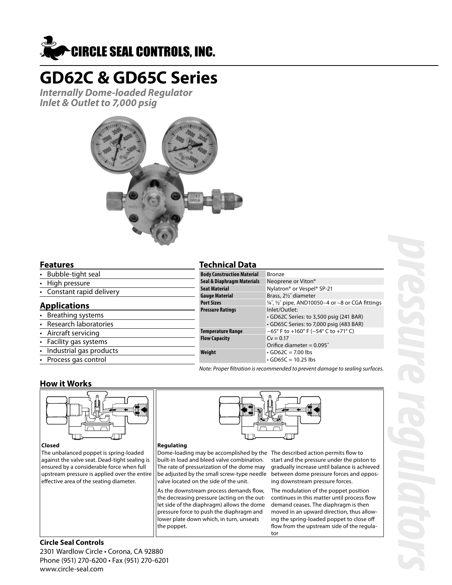

# **GD62C & GD65C Series**

**Internally Dome-loaded Regulator Inlet & Outlet to 7,000 psig**



#### **Features**

- Bubble-tight seal
- High pressure
- Constant rapid delivery

#### **Applications**

- **Breathing systems**
- Research laboratories
- Aircraft servicing
- Facility gas systems
- Industrial gas products
- Process gas control

### **Technical Data**

| <b>Body Construction Material</b> | Bronze                                                               |  |
|-----------------------------------|----------------------------------------------------------------------|--|
| Seal & Diaphragm Materials        | Neoprene or Viton®                                                   |  |
| <b>Seat Material</b>              | Nylatron <sup>®</sup> or Vespel <sup>®</sup> SP-21                   |  |
| <b>Gauge Material</b>             | Brass, 21/2" diameter                                                |  |
| <b>Port Sizes</b>                 | $\frac{1}{4}$ , $\frac{1}{2}$ pipe, AND10050-4 or -8 or CGA fittings |  |
| <b>Pressure Ratings</b>           | Inlet/Outlet:                                                        |  |
|                                   | GD62C Series: to 3,500 psig (241 BAR)                                |  |
|                                   | · GD65C Series: to 7,000 psig (483 BAR)                              |  |
| <b>Temperature Range</b>          | $-65^{\circ}$ F to +160° F (-54° C to +71° C)                        |  |
| <b>Flow Capacity</b>              | $Cy = 0.17$                                                          |  |
|                                   | Orifice diameter = $0.095$ "                                         |  |
| Weight                            | $\cdot$ GD62C = 7.00 lbs                                             |  |
|                                   | $\cdot$ GD65C = 10.25 lbs                                            |  |

Note: Proper filtration is recommended to prevent damage to sealing surfaces.

#### **How it Works**



#### **Closed**

The unbalanced poppet is spring-loaded against the valve seat. Dead-tight sealing is ensured by a considerable force when full upstream pressure is applied over the entire effective area of the seating diameter.

#### **Regulating**

Dome-loading may be accomplished by the The described action permits flow to built-in load and bleed valve combination. The rate of pressurization of the dome may be adjusted by the small screw-type needle valve located on the side of the unit.

As the downstream process demands flow, the decreasing pressure (acting on the outlet side of the diaphragm) allows the dome pressure force to push the diaphragm and lower plate down which, in turn, unseats the poppet.

start and the pressure under the piston to gradually increase until balance is achieved between dome pressure forces and opposing downstream pressure forces.

The modulation of the poppet position continues in this matter until process flow demand ceases. The diaphragm is then moved in an upward direction, thus allowing the spring-loaded poppet to close off flow from the upstream side of the regulator

#### **Circle Seal Controls** 2301 Wardlow Circle • Corona, CA 92880 Phone (951) 270-6200 • Fax (951) 270-6201 www.circle-seal.com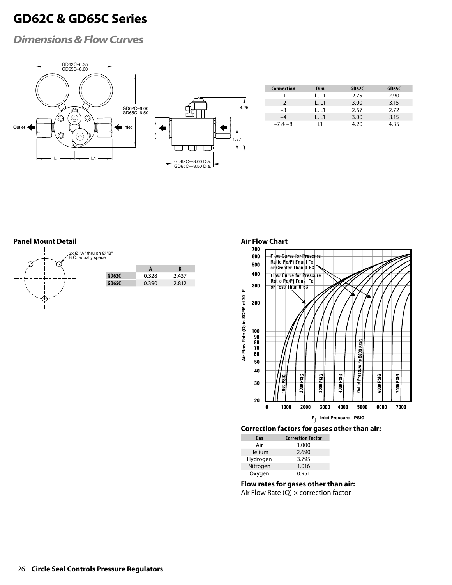## **GD62C & GD65C Series**

### **Dimensions & Flow Curves**



#### **Panel Mount Detail**



26 **Circle Seal Controls Pressure Regulators**

### Air Flow Chart<br>700



#### **Correction factors for gases other than air:**

| Gas      | <b>Correction Factor</b> |
|----------|--------------------------|
| Air      | 1.000                    |
| Helium   | 2.690                    |
| Hydrogen | 3.795                    |
| Nitrogen | 1.016                    |
| Oxygen   | 0.951                    |

**Flow rates for gases other than air:** Air Flow Rate  $(Q)$   $\times$  correction factor